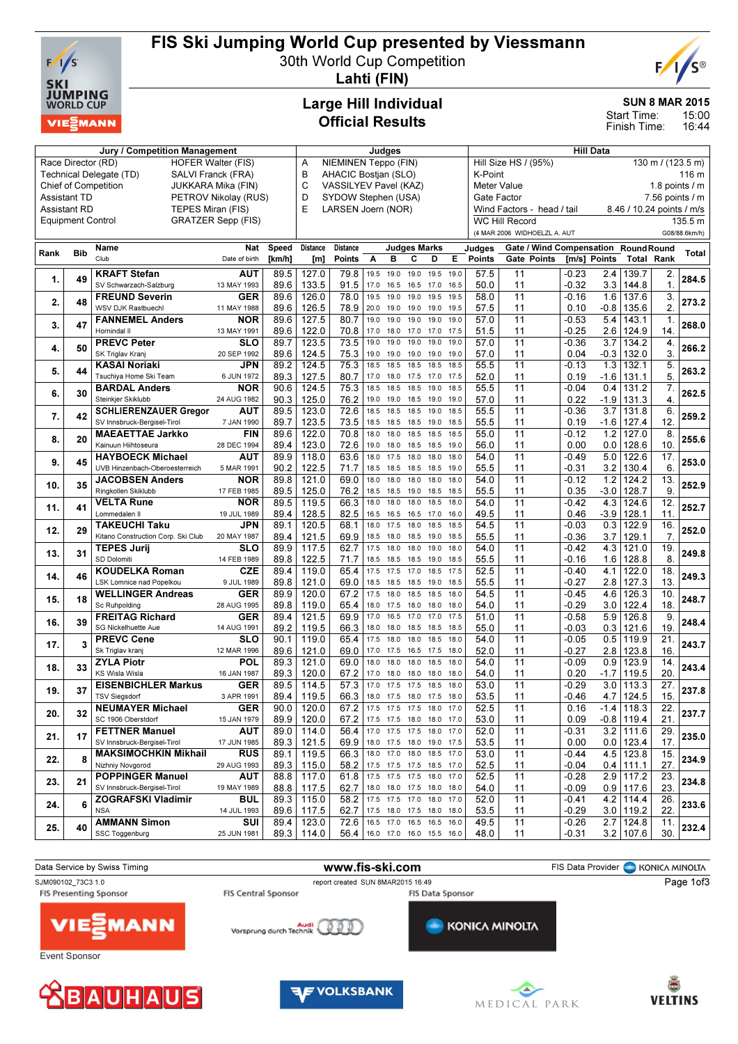

# FIS Ski Jumping World Cup presented by Viessmann

30th World Cup Competition



Lahti (FIN)

## Large Hill Individual Official Results

#### SUN 8 MAR 2015

15:00 Start Time:

16:44 Finish Time:

| Jury / Competition Management               |                                                 |                                               |                           |                          | Judges                     |                           |      |           |                               | <b>Hill Data</b>                   |                                           |                                     |              |        |                           |                   |               |
|---------------------------------------------|-------------------------------------------------|-----------------------------------------------|---------------------------|--------------------------|----------------------------|---------------------------|------|-----------|-------------------------------|------------------------------------|-------------------------------------------|-------------------------------------|--------------|--------|---------------------------|-------------------|---------------|
|                                             | Race Director (RD)<br><b>HOFER Walter (FIS)</b> |                                               |                           |                          |                            | NIEMINEN Teppo (FIN)<br>A |      |           |                               |                                    | Hill Size HS / (95%)<br>130 m / (123.5 m) |                                     |              |        |                           |                   |               |
|                                             |                                                 | Technical Delegate (TD)<br>SALVI Franck (FRA) |                           |                          |                            | B<br>AHACIC Bostjan (SLO) |      |           |                               |                                    | K-Point<br>116 m                          |                                     |              |        |                           |                   |               |
|                                             |                                                 | <b>Chief of Competition</b>                   | JUKKARA Mika (FIN)        |                          | C<br>VASSILYEV Pavel (KAZ) |                           |      |           |                               |                                    | Meter Value<br>1.8 points $\sqrt{}$ m     |                                     |              |        |                           |                   |               |
| <b>Assistant TD</b><br>PETROV Nikolay (RUS) |                                                 |                                               |                           | D<br>SYDOW Stephen (USA) |                            |                           |      |           |                               | $7.56$ points $/ m$<br>Gate Factor |                                           |                                     |              |        |                           |                   |               |
| <b>Assistant RD</b>                         |                                                 | TEPES Miran (FIS)                             |                           |                          | E                          | LARSEN Joern (NOR)        |      |           |                               |                                    |                                           | Wind Factors - head / tail          |              |        | 8.46 / 10.24 points / m/s |                   |               |
| <b>Equipment Control</b>                    |                                                 |                                               | <b>GRATZER Sepp (FIS)</b> |                          |                            |                           |      |           |                               |                                    |                                           | <b>WC Hill Record</b>               |              |        |                           |                   | 135.5 m       |
|                                             |                                                 |                                               |                           |                          |                            |                           |      |           |                               |                                    |                                           | (4 MAR 2006 WIDHOELZL A. AUT        |              |        |                           |                   | G08/88.6km/h) |
|                                             |                                                 |                                               |                           |                          |                            |                           |      |           |                               |                                    |                                           |                                     |              |        |                           |                   |               |
| Rank                                        | <b>Bib</b>                                      | Name                                          | Nat                       | <b>Speed</b>             | <b>Distance</b>            | <b>Distance</b>           |      |           | Judges Marks                  |                                    | Judges                                    | Gate / Wind Compensation RoundRound |              |        |                           |                   | <b>Total</b>  |
|                                             |                                                 | Club                                          | Date of birth             | [km/h]                   | [m]                        | Points                    | A    | в         | С<br>D                        | Е                                  | <b>Points</b>                             | Gate Points                         | [m/s] Points |        | <b>Total Rank</b>         |                   |               |
| 1.                                          | 49                                              | <b>KRAFT Stefan</b>                           | <b>AUT</b>                | 89.5                     | 127.0                      | 79.8                      | 19.5 | 19.0      | 19.0<br>19.5                  | 19.0                               | 57.5                                      | 11                                  | $-0.23$      | 2.4    | 139.7                     | 2.                | 284.5         |
|                                             |                                                 | SV Schwarzach-Salzburg                        | 13 MAY 1993               | 89.6                     | 133.5                      | 91.5                      | 17.0 | 16.5      | 17.0<br>16.5                  | 16.5                               | 50.0                                      | 11                                  | $-0.32$      | 3.3    | 144.8                     | $\mathbf 1$       |               |
|                                             |                                                 | <b>FREUND Severin</b>                         | <b>GER</b>                | 89.6                     | 126.0                      | 78.0                      | 19.5 | 19.0      | 19.0<br>19.5                  | 19.5                               | 58.0                                      | 11                                  | $-0.16$      | 1.6    | 137.6                     | 3.                |               |
| 2.                                          | 48                                              | WSV DJK Rastbuechl                            | 11 MAY 1988               | 89.6                     | 126.5                      | 78.9                      | 20.0 | 19.0      | 19.0<br>19.0                  | 19.5                               | 57.5                                      | 11                                  | 0.10         | $-0.8$ | 135.6                     | 2.                | 273.2         |
|                                             |                                                 | <b>FANNEMEL Anders</b>                        | NOR                       | 89.6                     | 127.5                      | 80.7                      | 19.0 | 19.0      | 19.0<br>19.0                  | 19.0                               | 57.0                                      | 11                                  | $-0.53$      | 5.4    | 143.1                     | 1.                |               |
| 3.                                          | 47                                              | Hornindal II                                  | 13 MAY 1991               | 89.6                     | 122.0                      | 70.8                      | 17.0 | 18.0      | 17.0<br>17.0                  | 17.5                               | 51.5                                      | 11                                  | $-0.25$      | 2.6    | 124.9                     | 14.               | 268.0         |
|                                             |                                                 | <b>PREVC Peter</b>                            | SLO                       | 89.7                     | 123.5                      | 73.5                      | 19.0 | 19.0      | 19.0<br>19.0                  | 19.0                               | 57.0                                      | 11                                  | $-0.36$      | 3.7    | 134.2                     | 4.                |               |
| 4.                                          | 50                                              | SK Triglav Kranj                              | 20 SEP 1992               | 89.6                     | 124.5                      | 75.3                      | 19.0 | 19.0      | 19.0<br>19.0                  | 19.0                               | 57.0                                      | 11                                  | 0.04         | $-0.3$ | 132.0                     | 3.                | 266.2         |
|                                             |                                                 | <b>KASAI Noriaki</b>                          | <b>JPN</b>                | 89.2                     | 124.5                      | 75.3                      | 18.5 | 18.5      | 18.5<br>18.5                  | 18.5                               | 55.5                                      | 11                                  | $-0.13$      | 1.3    | 132.1                     | 5.                |               |
| 5.                                          | 44                                              | Tsuchiya Home Ski Team                        | 6 JUN 1972                | 89.3                     | 127.5                      | 80.7                      | 17.0 | 18.0      | 17.5<br>17.0                  | 17.5                               | 52.0                                      | 11                                  | 0.19         | $-1.6$ | 131.1                     | 5.                | 263.2         |
|                                             |                                                 | <b>BARDAL Anders</b>                          | <b>NOR</b>                | 90.6                     | 124.5                      | 75.3                      | 18.5 | 18.5      | 18.5<br>19.0                  | 18.5                               | 55.5                                      | $\overline{11}$                     | $-0.04$      | 0.4    | 131.2                     | 7.                |               |
| 6.                                          | 30                                              | Steinkjer Skiklubb                            | 24 AUG 1982               | 90.3                     | 125.0                      | 76.2                      | 19.0 | 19.0      | 18.5<br>19.0                  | 19.0                               | 57.0                                      | 11                                  | 0.22         | $-1.9$ | 131.3                     | 4.                | 262.5         |
|                                             |                                                 | <b>SCHLIERENZAUER Gregor</b>                  | <b>AUT</b>                | 89.5                     | 123.0                      | 72.6                      | 18.5 | 18.5      | 18.5<br>19.0                  | 18.5                               | 55.5                                      | 11                                  | $-0.36$      | 3.7    | 131.8                     | 6.                |               |
| 7.                                          | 42                                              |                                               |                           | 89.7                     | 123.5                      | 73.5                      |      |           |                               |                                    |                                           | 11                                  |              |        |                           | 12.               | 259.2         |
|                                             |                                                 | SV Innsbruck-Bergisel-Tirol                   | 7 JAN 1990                |                          |                            |                           | 18.5 | 18.5      | 18.5<br>19.0                  | 18.5                               | 55.5                                      |                                     | 0.19         | $-1.6$ | 127.4                     |                   |               |
| 8.                                          | 20                                              | <b>MAEAETTAE Jarkko</b>                       | <b>FIN</b>                | 89.6                     | 122.0                      | 70.8                      | 18.0 | 18.0      | 18.5                          | 18.5<br>18.5                       | 55.0                                      | 11                                  | $-0.12$      | 1.2    | 127.0                     | 8.                | 255.6         |
|                                             |                                                 | Kainuun Hiihtoseura                           | 28 DEC 1994               | 89.4                     | 123.0                      | 72.6                      | 19.0 | 18.0      | 18.5<br>18.5                  | 19.0                               | 56.0                                      | 11                                  | 0.00         | 0.0    | 128.6                     | 10.               |               |
| 9.                                          | 45                                              | <b>HAYBOECK Michael</b>                       | <b>AUT</b>                | 89.9                     | 118.0                      | 63.6                      | 18.0 | 17.5      | 18.0<br>18.0                  | 18.0                               | 54.0                                      | 11                                  | $-0.49$      | 5.0    | 122.6                     | 17.               | 253.0         |
|                                             |                                                 | UVB Hinzenbach-Oberoesterreich                | 5 MAR 1991                | 90.2                     | 122.5                      | 71.7                      | 18.5 | 18.5 18.5 | 18.5                          | 19.0                               | 55.5                                      | 11                                  | -0.31        | 3.2    | 130.4                     | 6.                |               |
| 10.                                         | 35                                              | <b>JACOBSEN Anders</b>                        | NOR                       | 89.8                     | 121.0                      | 69.0                      | 18.0 | 18.0      | 18.0<br>18.0                  | 18.0                               | 54.0                                      | 11                                  | $-0.12$      | 1.2    | 124.2                     | 13.               | 252.9         |
|                                             |                                                 | Ringkollen Skiklubb                           | 17 FEB 1985               | 89.5                     | 125.0                      | 76.2                      | 18.5 | 18.5 19.0 | 18.5                          | 18.5                               | 55.5                                      | 11                                  | 0.35         | -3.0   | 128.7                     | 9.                |               |
| 11.                                         | 41                                              | <b>VELTA Rune</b>                             | <b>NOR</b>                | 89.5                     | 119.5                      | 66.3                      | 18.0 | 18.0      | 18.0                          | 18.0<br>18.5                       | 54.0                                      | 11                                  | $-0.42$      | 4.3    | 124.6                     | $\overline{12}$ . | 252.7         |
|                                             |                                                 | Lommedalen II                                 | 19 JUL 1989               | 89.4                     | 128.5                      | 82.5                      | 16.5 | 16.5      | 16.5<br>17.0                  | 16.0                               | 49.5                                      | 11                                  | 0.46         | $-3.9$ | 128.1                     | 11.               |               |
|                                             | 29                                              | <b>TAKEUCHI Taku</b>                          | JPN                       | 89.1                     | 120.5                      | 68.1                      | 18.0 | 17.5      | 18.0<br>18.5                  | 18.5                               | 54.5                                      | 11                                  | $-0.03$      | 0.3    | 122.9                     | 16.               | 252.0         |
| 12.                                         |                                                 | Kitano Construction Corp. Ski Club            | 20 MAY 1987               | 89.4                     | 121.5                      | 69.9                      | 18.5 | 18.0 18.5 | 19.0                          | 18.5                               | 55.5                                      | 11                                  | -0.36        | 3.7    | 129.1                     | 7.                |               |
|                                             |                                                 | <b>TEPES Jurij</b>                            | <b>SLO</b>                | 89.9                     | 117.5                      | 62.7                      | 17.5 | 18.0      | 18.0<br>19.0                  | 18.0                               | 54.0                                      | 11                                  | $-0.42$      | 4.3    | 121.0                     | 19.               |               |
| 13.                                         | 31                                              | SD Dolomiti                                   | 14 FEB 1989               | 89.8                     | 122.5                      | 71.7                      | 18.5 | 18.5 18.5 | 19.0                          | 18.5                               | 55.5                                      | 11                                  | -0.16        | 1.6    | 128.8                     | 8.                | 249.8         |
|                                             |                                                 | <b>KOUDELKA Roman</b>                         | <b>CZE</b>                | 89.4                     | 119.0                      | 65.4                      | 17.5 | 17.5      | 17.0<br>18.5                  | 17.5                               | 52.5                                      | 11                                  | $-0.40$      | 4.1    | 122.0                     | 18.               |               |
| 14.                                         | 46                                              | LSK Lomnice nad Popelkou                      | 9 JUL 1989                | 89.8                     | 121.0                      | 69.0                      | 18.5 | 18.5 18.5 | 19.0                          | 18.5                               | 55.5                                      | 11                                  | $-0.27$      | 2.8    | 127.3                     | 13.               | 249.3         |
|                                             |                                                 | <b>WELLINGER Andreas</b>                      | <b>GER</b>                | 89.9                     | 120.0                      | 67.2                      | 17.5 | 18.0      | 18.5<br>18.5                  | 18.0                               | 54.5                                      | 11                                  | $-0.45$      | 4.6    | 126.3                     | 10.               |               |
| 15.                                         | 18                                              | Sc Ruhpolding                                 | 28 AUG 1995               | 89.8                     | 119.0                      | 65.4                      | 18.0 | 17.5      | 18.0<br>18.0                  | 18.0                               | 54.0                                      | 11                                  | $-0.29$      | 3.0    | 122.4                     | 18.               | 248.7         |
|                                             |                                                 | <b>FREITAG Richard</b>                        | <b>GER</b>                | 89.4                     | 121.5                      | 69.9                      | 17.0 | 16.5      | 17.0<br>17.0                  | 17.5                               | 51.0                                      | 11                                  | $-0.58$      | 5.9    | 126.8                     | 9.                |               |
| 16.                                         | 39                                              | SG Nickelhuette Aue                           | 14 AUG 1991               | 89.2                     | 119.5                      | 66.3                      | 18.0 | 18.0      | 18.5<br>18.5                  | 18.5                               | 55.0                                      | 11                                  | -0.03        | 0.3    | 121.6                     | 19.               | 248.4         |
|                                             |                                                 | <b>PREVC Cene</b>                             | SLO                       | 90.1                     | 119.0                      | 65.4                      | 17.5 | 18.0      | 18.0<br>18.5                  | 18.0                               | 54.0                                      | 11                                  | $-0.05$      | 0.5    | 119.9                     | $\overline{21}$   |               |
| 17.                                         | 3                                               | Sk Triglav kranj                              | 12 MAR 1996               | 89.6                     | 121.0                      | 69.0                      | 17.0 | 17.5      | 17.5<br>16.5                  | 18.0                               | 52.0                                      | 11                                  | $-0.27$      | 2.8    | 123.8                     | 16.               | 243.7         |
|                                             |                                                 | <b>ZYLA Piotr</b>                             | POL                       | 89.3                     | 121.0                      | 69.0                      | 18.0 | 18.0      | 18.0                          | 18.5<br>18.0                       | 54.0                                      | 11                                  | $-0.09$      | 0.9    | 123.9                     | 14.               |               |
| 18.                                         | 33                                              | KS Wisla Wisla                                |                           | 89.3                     |                            |                           |      |           |                               |                                    |                                           |                                     |              |        |                           |                   | 243.4         |
|                                             |                                                 |                                               | 16 JAN 1987               |                          | 120.0                      | 67.2                      | 17.0 | 18.0      | 18.0<br>18.0                  | 18.0                               | 54.0                                      | 11                                  | 0.20         | $-1.7$ | 119.5                     | 20.               |               |
| 19.                                         | 37                                              | <b>EISENBICHLER Markus</b>                    | <b>GER</b>                | 89.5                     | 114.5                      | 57.3                      | 17.0 | 17.5      | 17.5<br>18.5                  | 18.0                               | 53.0                                      | 11                                  | $-0.29$      | 3.0    | 113.3                     | 27.               | 237.8         |
|                                             |                                                 | <b>TSV Siegsdorf</b>                          | 3 APR 1991                | 89.4                     | 119.5                      | 66.3                      | 18.0 | 17.5 18.0 | 17.5                          | 18.0                               | 53.5                                      | 11                                  | $-0.46$      | 4.7    | 124.5                     | 15.               |               |
| 20.                                         | 32                                              | <b>NEUMAYER Michael</b>                       | <b>GER</b>                | 90.0                     | 120.0                      | 67.2                      |      |           | 17.5 17.5 17.5 18.0 17.0      |                                    | 52.5                                      | 11                                  | 0.16         |        | $-1.4$   118.3            | 22.               | 237.7         |
|                                             |                                                 | SC 1906 Oberstdorf                            | 15 JAN 1979               | 89.9                     | 120.0                      |                           |      |           | 67.2 17.5 17.5 18.0 18.0 17.0 |                                    | 53.0                                      | 11                                  | 0.09         |        | $-0.8$ 119.4              | 21.               |               |
| 21.                                         | 17                                              | <b>FETTNER Manuel</b>                         | <b>AUT</b>                | 89.0                     | 114.0                      | 56.4                      |      |           | 17.0 17.5 17.5 18.0 17.0      |                                    | 52.0                                      | 11                                  | $-0.31$      |        | $3.2$ 111.6               | 29.               | 235.0         |
|                                             |                                                 | SV Innsbruck-Bergisel-Tirol                   | 17 JUN 1985               | 89.3                     | 121.5                      |                           |      |           |                               | 69.9 18.0 17.5 18.0 19.0 17.5      | 53.5                                      | 11                                  | 0.00         |        | $0.0$   123.4             | 17.               |               |
| 22.                                         | 8                                               | <b>MAKSIMOCHKIN Mikhail</b>                   | <b>RUS</b>                | 89.1                     | 119.5                      |                           |      |           |                               | 66.3 18.0 17.0 18.0 18.5 17.0      | 53.0                                      | 11                                  | $-0.44$      |        | 4.5 123.8                 | 15.               | 234.9         |
|                                             |                                                 | Nizhniy Novgorod                              | 29 AUG 1993               | 89.3                     | 115.0                      |                           |      |           |                               | 58.2 17.5 17.5 17.5 18.5 17.0      | 52.5                                      | 11                                  | -0.04        |        | $0.4$   111.1             | 27.               |               |
| 23.                                         | 21                                              | <b>POPPINGER Manuel</b>                       | AUT                       | 88.8                     | 117.0                      | 61.8                      |      |           |                               | 17.5 17.5 17.5 18.0 17.0           | 52.5                                      | 11                                  | $-0.28$      |        | $2.9$ 117.2               | 23.               | 234.8         |
|                                             |                                                 | SV Innsbruck-Bergisel-Tirol                   | 19 MAY 1989               |                          | 88.8   117.5               |                           |      |           |                               | 62.7   18.0 18.0 17.5 18.0 18.0    | 54.0                                      | 11                                  | -0.09        |        | $0.9$   117.6             | 23.               |               |
|                                             | 6                                               | <b>ZOGRAFSKI Vladimir</b>                     | <b>BUL</b>                | 89.3                     | 115.0                      | 58.2                      |      |           |                               | 17.5 17.5 17.0 18.0 17.0           | 52.0                                      | 11                                  | $-0.41$      |        | $4.2$ 114.4               | 26.               | 233.6         |
| 24.                                         |                                                 | <b>NSA</b>                                    | 14 JUL 1993               | 89.6                     | 117.5                      | 62.7                      |      |           |                               | 17.5 18.0 17.5 18.0 18.0           | 53.5                                      | 11                                  | -0.29        |        | $3.0$   119.2             | 22.               |               |
|                                             |                                                 | <b>AMMANN Simon</b>                           | SUI                       |                          | $89.4$   123.0             | 72.6                      |      |           |                               | 16.5 17.0 16.5 16.5 16.0           | 49.5                                      | 11                                  | $-0.26$      |        | $2.7$   124.8             | 11.               |               |
| 25.                                         | 40                                              | SSC Toggenburg                                | 25 JUN 1981               |                          | 89.3   114.0               |                           |      |           |                               | 56.4 16.0 17.0 16.0 15.5 16.0      | 48.0                                      | 11                                  | $-0.31$      |        | $3.2$ 107.6               | 30.               | 232.4         |

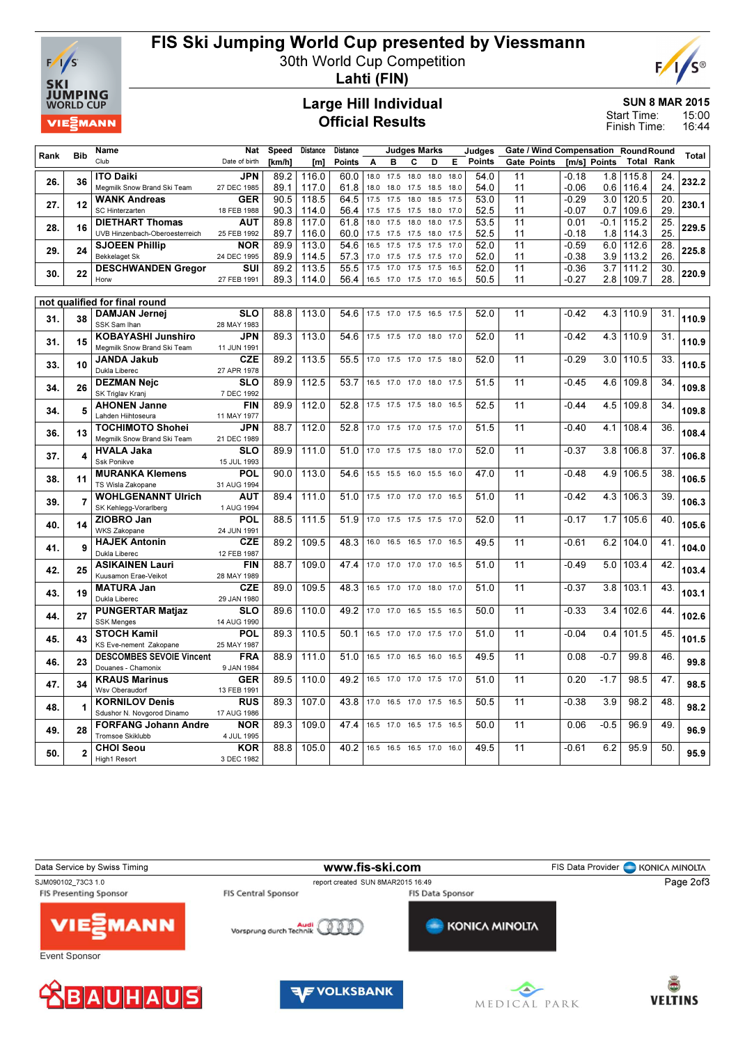

# FIS Ski Jumping World Cup presented by Viessmann

30th World Cup Competition



Lahti (FIN)

### Large Hill Individual Official Results

SUN 8 MAR 2015

15:00 16:44 Start Time: Finish Time:

|      |                | Name                                                     | <b>Nat</b>                | <b>Speed</b> | <b>Distance</b> | <b>Distance</b> |      |           | <b>Judges Marks</b>      |      |      | Judges        | Gate / Wind Compensation RoundRound |              |        |                   |     |              |
|------|----------------|----------------------------------------------------------|---------------------------|--------------|-----------------|-----------------|------|-----------|--------------------------|------|------|---------------|-------------------------------------|--------------|--------|-------------------|-----|--------------|
| Rank | <b>Bib</b>     | Club                                                     | Date of birth             | [km/h]       | [m]             | <b>Points</b>   | A    | в         | c                        | D    | E.   | <b>Points</b> | Gate Points                         | [m/s] Points |        | <b>Total Rank</b> |     | <b>Total</b> |
|      |                | <b>ITO Daiki</b>                                         | <b>JPN</b>                | 89.2         | 116.0           | 60.0            |      | 18.0 17.5 | 18.0                     | 18.0 | 18.0 | 54.0          | 11                                  | $-0.18$      | 1.8    | 115.8             | 24. |              |
| 26.  | 36             | Megmilk Snow Brand Ski Team                              | 27 DEC 1985               | 89.1         | 117.0           | 61.8            | 18.0 | 18.0      | 17.5                     | 18.5 | 18.0 | 54.0          | 11                                  | $-0.06$      | 0.6    | 116.4             | 24. | 232.2        |
|      |                | <b>WANK Andreas</b>                                      | <b>GER</b>                | 90.5         | 118.5           | 64.5            | 17.5 | 17.5      | 18.0                     | 18.5 | 17.5 | 53.0          | 11                                  | $-0.29$      | 3.0    | 120.5             | 20. |              |
| 27.  | 12             | SC Hinterzarten                                          | 18 FEB 1988               | 90.3         | 114.0           | 56.4            | 17.5 | 17.5      | 17.5                     | 18.0 | 17.0 | 52.5          | 11                                  | $-0.07$      | 0.7    | 109.6             | 29  | 230.1        |
|      |                | <b>DIETHART Thomas</b>                                   | <b>AUT</b>                | 89.8         | 117.0           | 61.8            | 18.0 | 17.5      | 18.0                     | 18.0 | 17.5 | 53.5          | 11                                  | 0.01         | $-0.1$ | 115.2             | 25  | 229.5        |
| 28.  | 16             | UVB Hinzenbach-Oberoesterreich                           | 25 FEB 1992               | 89.7         | 116.0           | 60.0            | 17.5 | 17.5      | 17.5                     | 18.0 | 17.5 | 52.5          | 11                                  | -0.18        | 1.8    | 114.3             | 25  |              |
| 29.  | 24             | <b>SJOEEN Phillip</b>                                    | <b>NOR</b>                | 89.9         | 113.0           | 54.6            | 16.5 | 17.5      | 17.5                     | 17.5 | 17.0 | 52.0          | 11                                  | $-0.59$      | 6.0    | 112.6             | 28. | 225.8        |
|      |                | <b>Bekkelaget Sk</b>                                     | 24 DEC 1995               | 89.9         | 114.5           | 57.3            | 17.0 | 17.5      | 17.5                     | 17.5 | 17.0 | 52.0          | 11                                  | $-0.38$      | 3.9    | 113.2             | 26  |              |
| 30.  | 22             | <b>DESCHWANDEN Gregor</b>                                | SUI                       | 89.2         | 113.5           | 55.5            | 17.5 | 17.0      | 17.5                     | 17.5 | 16.5 | 52.0          | $\overline{11}$                     | $-0.36$      | 3.7    | 111.2             | 30. | 220.9        |
|      |                | Horw                                                     | 27 FEB 1991               | 89.3         | 114.0           | 56.4            | 16.5 | 17.0      | 17.5                     | 17.0 | 16.5 | 50.5          | 11                                  | $-0.27$      |        | 2.8 109.7         | 28. |              |
|      |                |                                                          |                           |              |                 |                 |      |           |                          |      |      |               |                                     |              |        |                   |     |              |
|      |                | not qualified for final round                            |                           |              |                 |                 |      |           |                          |      |      |               |                                     |              |        |                   |     |              |
| 31.  | 38             | <b>DAMJAN Jernej</b>                                     | <b>SLO</b>                | 88.8         | 113.0           | 54.6            |      | 17.5 17.0 | 17.5 16.5 17.5           |      |      | 52.0          | 11                                  | $-0.42$      | 4.3    | 110.9             | 31. | 110.9        |
|      |                | SSK Sam Ihan                                             | 28 MAY 1983<br><b>JPN</b> |              |                 |                 |      |           |                          |      |      |               |                                     |              |        |                   |     |              |
| 31.  | 15             | <b>KOBAYASHI Junshiro</b><br>Megmilk Snow Brand Ski Team | 11 JUN 1991               | 89.3         | 113.0           | 54.6            |      |           | 17.5 17.5 17.0 18.0 17.0 |      |      | 52.0          | 11                                  | $-0.42$      | 4.3    | 110.9             | 31. | 110.9        |
|      |                | <b>JANDA Jakub</b>                                       | <b>CZE</b>                | 89.2         | 113.5           | 55.5            |      | 17.0 17.5 | 17.0 17.5                |      | 18.0 | 52.0          | 11                                  | $-0.29$      | 3.0    | 110.5             | 33. |              |
| 33.  | 10             | Dukla Liberec                                            | 27 APR 1978               |              |                 |                 |      |           |                          |      |      |               |                                     |              |        |                   |     | 110.5        |
|      |                | <b>DEZMAN Nejc</b>                                       | <b>SLO</b>                | 89.9         | 112.5           | 53.7            | 16.5 | 17.0      | 17.0                     | 18.0 | 17.5 | 51.5          | 11                                  | $-0.45$      | 4.6    | 109.8             | 34. |              |
| 34.  | 26             | SK Triglav Kranj                                         | 7 DEC 1992                |              |                 |                 |      |           |                          |      |      |               |                                     |              |        |                   |     | 109.8        |
|      |                | <b>AHONEN Janne</b>                                      | <b>FIN</b>                | 89.9         | 112.0           | 52.8            | 17.5 | 17.5      | 17.5                     | 18.0 | 16.5 | 52.5          | 11                                  | $-0.44$      | 4.5    | 109.8             | 34. |              |
| 34.  | 5              | Lahden Hiihtoseura                                       | 11 MAY 1977               |              |                 |                 |      |           |                          |      |      |               |                                     |              |        |                   |     | 109.8        |
| 36.  | 13             | <b>TOCHIMOTO Shohei</b>                                  | <b>JPN</b>                | 88.7         | 112.0           | 52.8            |      |           | 17.0 17.5 17.0 17.5 17.0 |      |      | 51.5          | 11                                  | $-0.40$      | 4.1    | 108.4             | 36. | 108.4        |
|      |                | Megmilk Snow Brand Ski Team                              | 21 DEC 1989               |              |                 |                 |      |           |                          |      |      |               |                                     |              |        |                   |     |              |
| 37.  | 4              | <b>HVALA Jaka</b>                                        | <b>SLO</b>                | 89.9         | 111.0           | 51.0            |      | 17.0 17.5 | 17.5 18.0 17.0           |      |      | 52.0          | 11                                  | $-0.37$      | 3.8    | 106.8             | 37. | 106.8        |
|      |                | Ssk Ponikve                                              | 15 JUL 1993               |              |                 |                 |      |           |                          |      |      |               |                                     |              |        |                   |     |              |
| 38.  | 11             | <b>MURANKA Klemens</b>                                   | <b>POL</b>                | 90.0         | 113.0           | 54.6            | 15.5 | 15.5      | 16.0                     | 15.5 | 16.0 | 47.0          | 11                                  | $-0.48$      | 4.9    | 106.5             | 38. | 106.5        |
|      |                | TS Wisla Zakopane                                        | 31 AUG 1994               |              |                 |                 |      |           |                          |      |      |               |                                     |              |        |                   |     |              |
| 39.  | $\overline{7}$ | <b>WOHLGENANNT Ulrich</b>                                | <b>AUT</b>                | 89.4         | 111.0           | 51.0            |      |           | 17.5 17.0 17.0 17.0 16.5 |      |      | 51.0          | 11                                  | $-0.42$      | 4.3    | 106.3             | 39. | 106.3        |
|      |                | SK Kehlegg-Vorarlberg                                    | 1 AUG 1994<br><b>POL</b>  | 88.5         | 111.5           | 51.9            | 17.0 | 17.5      |                          |      | 17.0 | 52.0          | 11                                  | $-0.17$      | 1.7    | 105.6             | 40. |              |
| 40.  | 14             | ZIOBRO Jan<br><b>WKS Zakopane</b>                        | 24 JUN 1991               |              |                 |                 |      |           | 17.5 17.5                |      |      |               |                                     |              |        |                   |     | 105.6        |
|      |                | <b>HAJEK Antonin</b>                                     | <b>CZE</b>                | 89.2         | 109.5           | 48.3            | 16.0 | 16.5      | 16.5 17.0                |      | 16.5 | 49.5          | 11                                  | $-0.61$      | 6.2    | 104.0             | 41. |              |
| 41.  | 9              | Dukla Liberec                                            | 12 FEB 1987               |              |                 |                 |      |           |                          |      |      |               |                                     |              |        |                   |     | 104.0        |
|      |                | <b>ASIKAINEN Lauri</b>                                   | <b>FIN</b>                | 88.7         | 109.0           | 47.4            |      | 17.0 17.0 | 17.0 17.0                |      | 16.5 | 51.0          | 11                                  | $-0.49$      | 5.0    | 103.4             | 42. |              |
| 42.  | 25             | Kuusamon Erae-Veikot                                     | 28 MAY 1989               |              |                 |                 |      |           |                          |      |      |               |                                     |              |        |                   |     | 103.4        |
|      | 19             | <b>MATURA Jan</b>                                        | <b>CZE</b>                | 89.0         | 109.5           | 48.3            |      | 16.5 17.0 | 17.0                     | 18.0 | 17.0 | 51.0          | 11                                  | $-0.37$      | 3.8    | 103.1             | 43. | 103.1        |
| 43.  |                | Dukla Liberec                                            | 29 JAN 1980               |              |                 |                 |      |           |                          |      |      |               |                                     |              |        |                   |     |              |
| 44.  | 27             | <b>PUNGERTAR Matjaz</b>                                  | <b>SLO</b>                | 89.6         | 110.0           | 49.2            |      | 17.0 17.0 | 16.5 15.5 16.5           |      |      | 50.0          | $\overline{11}$                     | $-0.33$      | 3.4    | 102.6             | 44. | 102.6        |
|      |                | <b>SSK Menges</b>                                        | 14 AUG 1990               |              |                 |                 |      |           |                          |      |      |               |                                     |              |        |                   |     |              |
| 45.  | 43             | <b>STOCH Kamil</b>                                       | <b>POL</b>                | 89.3         | 110.5           | 50.1            | 16.5 | 17.0      | 17.0 17.5                |      | 17.0 | 51.0          | 11                                  | $-0.04$      | 0.4    | 101.5             | 45. | 101.5        |
|      |                | KS Eve-nement Zakopane                                   | 25 MAY 1987               |              |                 |                 |      |           |                          |      |      |               |                                     |              |        |                   |     |              |
| 46.  | 23             | <b>DESCOMBES SEVOIE Vincent</b>                          | <b>FRA</b>                | 88.9         | 111.0           | 51.0            |      | 16.5 17.0 | 16.5                     | 16.0 | 16.5 | 49.5          | 11                                  | 0.08         | $-0.7$ | 99.8              | 46. | 99.8         |
|      |                | Douanes - Chamonix<br><b>KRAUS Marinus</b>               | 9 JAN 1984<br><b>GER</b>  | 89.5         | 110.0           | 49.2            | 16.5 | 17.0      | 17.0                     | 17.5 | 17.0 | 51.0          | 11                                  | 0.20         | $-1.7$ | 98.5              | 47. |              |
| 47.  | 34             | Wsv Oberaudorf                                           | 13 FEB 1991               |              |                 |                 |      |           |                          |      |      |               |                                     |              |        |                   |     | 98.5         |
|      |                | <b>KORNILOV Denis</b>                                    | <b>RUS</b>                | 89.3         | 107.0           | 43.8            | 17.0 | 16.5      | 17.0                     | 17.5 | 16.5 | 50.5          | 11                                  | $-0.38$      | 3.9    | 98.2              | 48. |              |
| 48.  | 1              | Sdushor N. Novgorod Dinamo                               | 17 AUG 1986               |              |                 |                 |      |           |                          |      |      |               |                                     |              |        |                   |     | 98.2         |
|      |                | <b>FORFANG Johann Andre</b>                              | <b>NOR</b>                | 89.3         | 109.0           | 47.4            | 16.5 | 17.0      | 16.5                     | 17.5 | 16.5 | 50.0          | 11                                  | 0.06         | $-0.5$ | 96.9              | 49  |              |
| 49.  | 28             | Tromsoe Skiklubb                                         | 4 JUL 1995                |              |                 |                 |      |           |                          |      |      |               |                                     |              |        |                   |     | 96.9         |
| 50.  | $\overline{2}$ | <b>CHOI Seou</b>                                         | <b>KOR</b>                | 88.8         | 105.0           | 40.2            |      |           | 16.5 16.5 16.5 17.0 16.0 |      |      | 49.5          | 11                                  | $-0.61$      | 6.2    | 95.9              | 50  | 95.9         |
|      |                | High1 Resort                                             | 3 DEC 1982                |              |                 |                 |      |           |                          |      |      |               |                                     |              |        |                   |     |              |
|      |                |                                                          |                           |              |                 |                 |      |           |                          |      |      |               |                                     |              |        |                   |     |              |